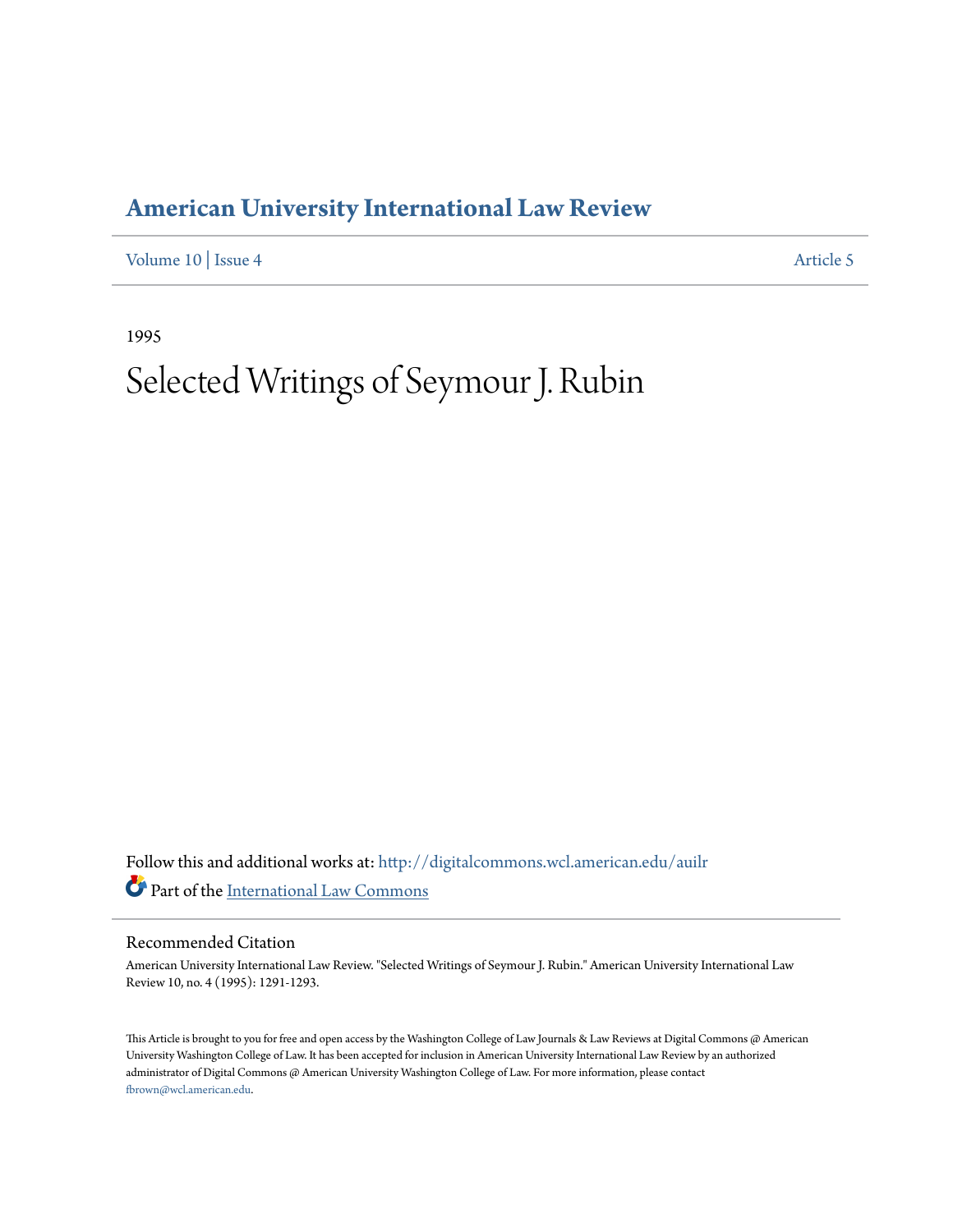## **[American University International Law Review](http://digitalcommons.wcl.american.edu/auilr?utm_source=digitalcommons.wcl.american.edu%2Fauilr%2Fvol10%2Fiss4%2F5&utm_medium=PDF&utm_campaign=PDFCoverPages)**

[Volume 10](http://digitalcommons.wcl.american.edu/auilr/vol10?utm_source=digitalcommons.wcl.american.edu%2Fauilr%2Fvol10%2Fiss4%2F5&utm_medium=PDF&utm_campaign=PDFCoverPages) | [Issue 4](http://digitalcommons.wcl.american.edu/auilr/vol10/iss4?utm_source=digitalcommons.wcl.american.edu%2Fauilr%2Fvol10%2Fiss4%2F5&utm_medium=PDF&utm_campaign=PDFCoverPages) [Article 5](http://digitalcommons.wcl.american.edu/auilr/vol10/iss4/5?utm_source=digitalcommons.wcl.american.edu%2Fauilr%2Fvol10%2Fiss4%2F5&utm_medium=PDF&utm_campaign=PDFCoverPages)

1995

# Selected Writings of Seymour J. Rubin

Follow this and additional works at: [http://digitalcommons.wcl.american.edu/auilr](http://digitalcommons.wcl.american.edu/auilr?utm_source=digitalcommons.wcl.american.edu%2Fauilr%2Fvol10%2Fiss4%2F5&utm_medium=PDF&utm_campaign=PDFCoverPages) Part of the [International Law Commons](http://network.bepress.com/hgg/discipline/609?utm_source=digitalcommons.wcl.american.edu%2Fauilr%2Fvol10%2Fiss4%2F5&utm_medium=PDF&utm_campaign=PDFCoverPages)

## Recommended Citation

American University International Law Review. "Selected Writings of Seymour J. Rubin." American University International Law Review 10, no. 4 (1995): 1291-1293.

This Article is brought to you for free and open access by the Washington College of Law Journals & Law Reviews at Digital Commons @ American University Washington College of Law. It has been accepted for inclusion in American University International Law Review by an authorized administrator of Digital Commons @ American University Washington College of Law. For more information, please contact [fbrown@wcl.american.edu](mailto:fbrown@wcl.american.edu).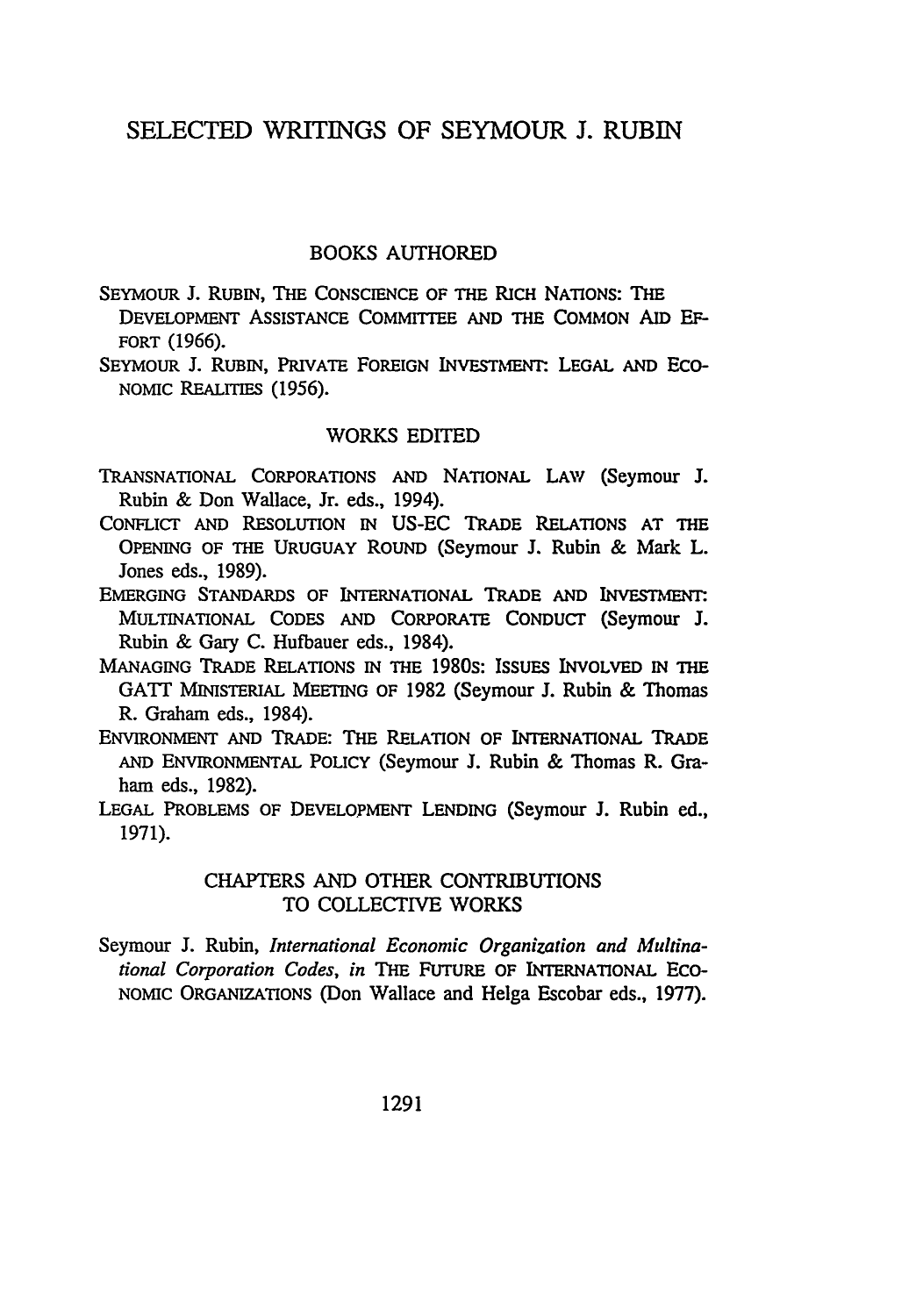## **SELECTED** WRITINGS OF SEYMOUR **J.** RUBIN

## BOOKS AUTHORED

SEYMOUR J. RUBIN, THE CONSCIENCE OF THE RICH NATIONS: **THE** DEVELOPMENT ASSISTANCE COMMITTEE **AND** THE **COMMON** AID **EF-**FORT (1966).

SEYMOUR J. RUBIN, PRIVATE FOREIGN INVESTMENT: LEGAL AND ECO-NOMIC REALITIES (1956).

#### WORKS EDITED

- TRANSNATIONAL CORPORATIONS AND NATIONAL LAW (Seymour J. Rubin & Don Wallace, Jr. eds., 1994).
- CONFLICT AND RESOLUTION IN US-EC TRADE RELATIONS AT THE OPENING OF THE URUGUAY ROUND (Seymour J. Rubin & Mark L. Jones eds., 1989).
- EMERGING STANDARDS OF INTERNATIONAL TRADE **AND** INVESTmENT. MULTINATIONAL CODES AND CORPORATE CONDUCT (Seymour **J.** Rubin & Gary **C.** Hufbauer eds., 1984).
- **MANAGING** TRADE RELATIONS IN THE **1980S: ISSUES** INVOLVED **IN** THE GATT MINISTERIAL MEETING OF 1982 (Seymour **J.** Rubin & Thomas R. Graham eds., 1984).
- ENVIRONMENT AND TRADE: THE RELATION OF INTERNATIONAL **TRADE AND** ENVIRONMENTAL POLICY (Seymour **J.** Rubin & Thomas R. Graham eds., **1982).**
- **LEGAL** PROBLEMS OF **DEVELOPMENT** LENDING (Seymour **J.** Rubin ed., **1971).**

## CHAPTERS **AND** OTHER **CONTRIBUTIONS** TO **COLLECTIVE** WORKS

Seymour **J.** Rubin, *International* Economic *Organization and Multinational Corporation Codes, in* THE FUTURE OF INTERNATIONAL **ECO-**NOMIC ORGANIZATIONS (Don Wallace and Helga Escobar eds., **1977).**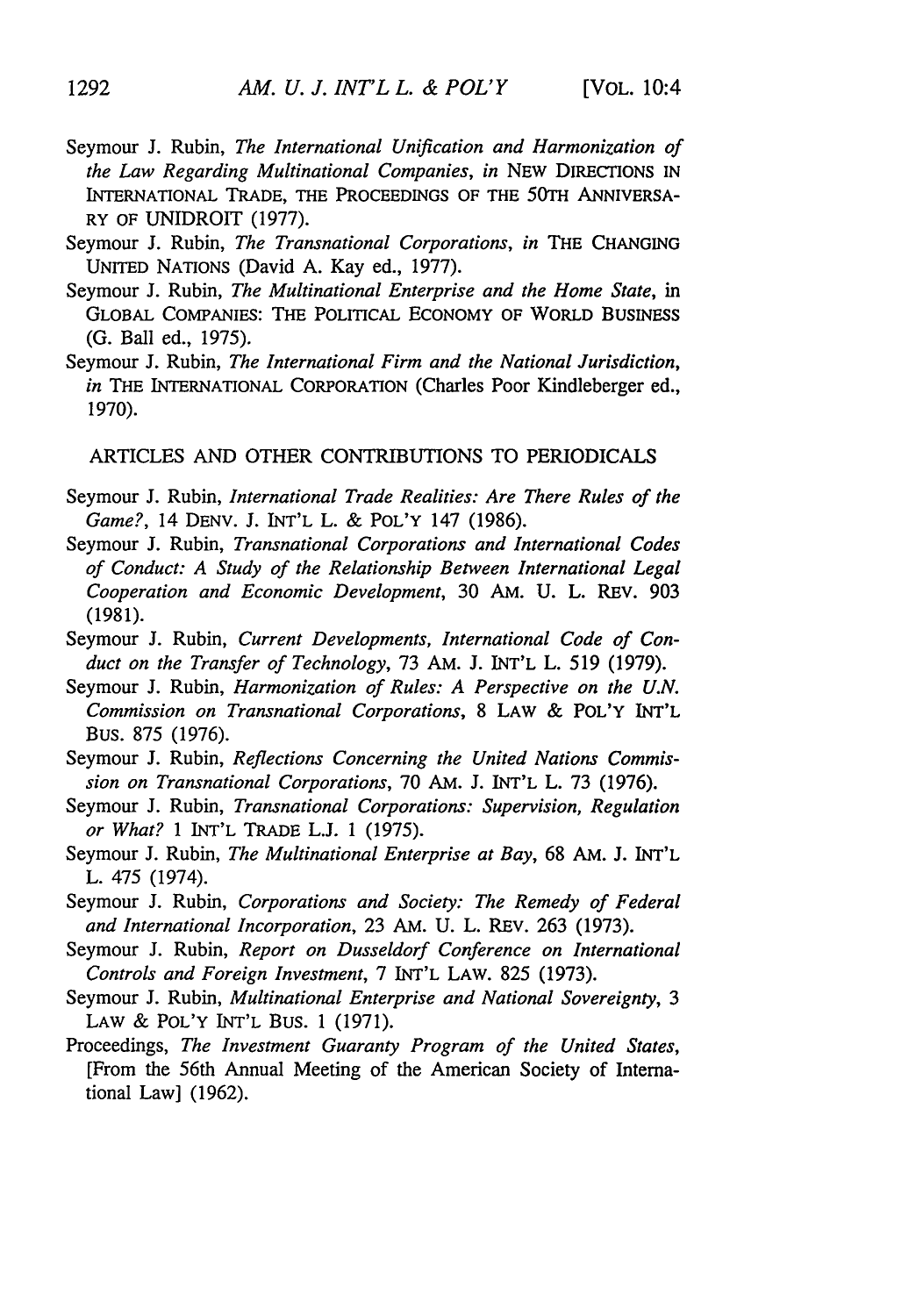- Seymour J. Rubin, *The International Unification and Harmonization of the Law Regarding Multinational Companies, in* NEW DIRECTIONS IN INTERNATIONAL TRADE, THE PROCEEDINGS OF THE 50TH ANNIVERSA-RY OF UNIDROIT (1977).
- Seymour J. Rubin, *The Transnational Corporations, in* THE **CHANGING** UNITED NATIONS (David A. Kay ed., 1977).
- Seymour J. Rubin, *The Multinational Enterprise and the Home State, in* GLOBAL COMPANIES: THE POLITICAL **ECONOMY** OF WORLD BUSINESS (G. Ball ed., 1975).
- Seymour J. Rubin, *The International Firm and the National Jurisdiction, in* THE INTERNATIONAL CORPORATION (Charles Poor Kindleberger ed., 1970).

ARTICLES AND OTHER CONTRIBUTIONS TO PERIODICALS

- Seymour J. Rubin, *International Trade Realities: Are There Rules of the Game?,* 14 DENV. J. INT'L L. **&** POL'Y 147 (1986).
- Seymour J. Rubin, *Transnational Corporations and International Codes of Conduct: A Study of the Relationship Between International Legal Cooperation and Economic Development,* 30 AM. U. L. REV. 903 (1981).
- Seymour J. Rubin, *Current Developments, International Code of Conduct on the Transfer of Technology,* 73 AM. J. INT'L L. 519 (1979).
- Seymour J. Rubin, *Harmonization of Rules: A Perspective on the U.N. Commission on Transnational Corporations,* 8 LAW & POL'Y INT'L Bus. 875 (1976).
- Seymour J. Rubin, *Reflections Concerning the United Nations Commission on Transnational Corporations,* 70 AM. J. INT'L L. 73 (1976).
- Seymour J. Rubin, *Transnational Corporations: Supervision, Regulation or What?* 1 INT'L TRADE L.J. 1 (1975).
- Seymour J. Rubin, *The Multinational Enterprise at Bay,* 68 AM. J. INT'L L. 475 (1974).
- Seymour J. Rubin, *Corporations and Society: The Remedy of Federal and International Incorporation,* 23 AM. U. L. REv. 263 (1973).
- Seymour J. Rubin, *Report on Dusseldorf Conference on International Controls and Foreign Investment,* 7 INT'L LAW. 825 (1973).
- Seymour J. Rubin, *Multinational Enterprise and National Sovereignty, 3* LAW & POL'Y INT'L Bus. 1 (1971).
- Proceedings, *The Investment Guaranty Program of the United States,* [From the 56th Annual Meeting of the American Society of International Law] (1962).